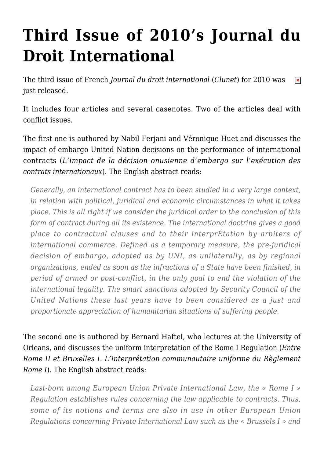## **[Third Issue of 2010's Journal du](https://conflictoflaws.net/2010/third-issue-of-2010s-journal-du-droit-international/) [Droit International](https://conflictoflaws.net/2010/third-issue-of-2010s-journal-du-droit-international/)**

The third issue of French *Journal du droit international* (*Clunet*) for 2010 was  $\pmb{\times}$ just released.

It includes four articles and several casenotes. Two of the articles deal with conflict issues.

The first one is authored by Nabil Ferjani and Véronique Huet and discusses the impact of embargo United Nation decisions on the performance of international contracts (*L'impact de la décision onusienne d'embargo sur l'exécution des contrats internationaux*). The English abstract reads:

*Generally, an international contract has to been studied in a very large context, in relation with political, juridical and economic circumstances in what it takes place. This is all right if we consider the juridical order to the conclusion of this form of contract during all its existence. The international doctrine gives a good place to contractual clauses and to their interprÉtation by arbiters of international commerce. Defined as a temporary measure, the pre-juridical decision of embargo, adopted as by UNI, as unilaterally, as by regional organizations, ended as soon as the infractions of a State have been finished, in period of armed or post-conflict, in the only goal to end the violation of the international legality. The smart sanctions adopted by Security Council of the United Nations these last years have to been considered as a just and proportionate appreciation of humanitarian situations of suffering people.*

The second one is authored by Bernard Haftel, who lectures at the University of Orleans, and discusses the uniform interpretation of the Rome I Regulation (*Entre Rome II et Bruxelles I. L'interprétation communautaire uniforme du Règlement Rome I*). The English abstract reads:

*Last-born among European Union Private International Law, the « Rome I » Regulation establishes rules concerning the law applicable to contracts. Thus, some of its notions and terms are also in use in other European Union Regulations concerning Private International Law such as the « Brussels I » and*